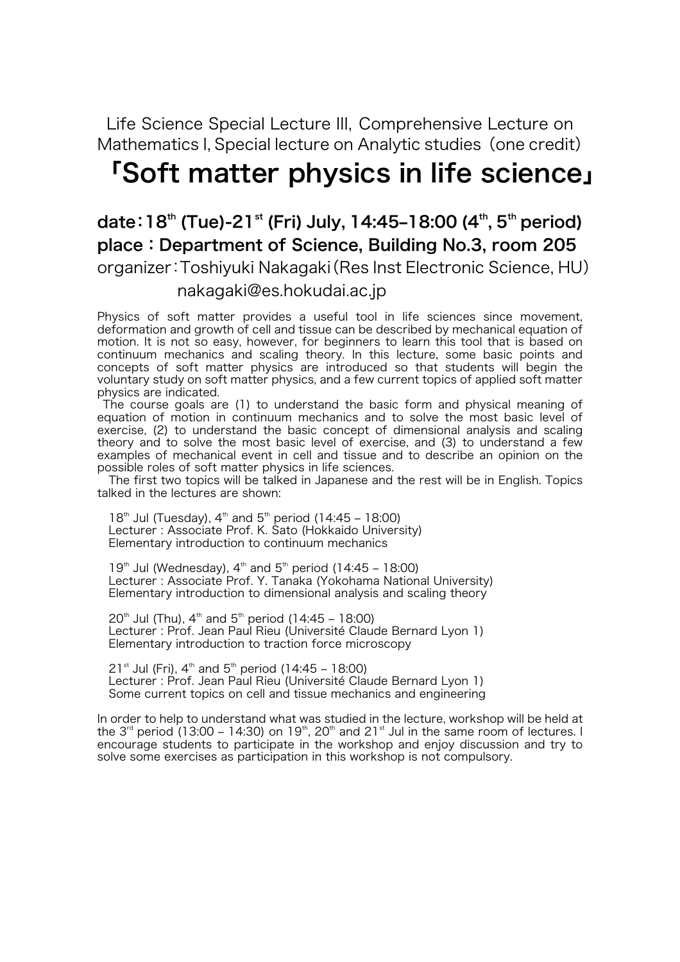### Life Science Special Lecture III, Comprehensive Lecture on Mathematics I, Special lecture on Analytic studies (one credit)

# 「Soft matter physics in life science」

## date: 18<sup>th</sup> (Tue)-21<sup>st</sup> (Fri) July, 14:45–18:00 (4<sup>th</sup>, 5<sup>th</sup> period) place:Department of Science, Building No.3, room 205 organizer:Toshiyuki Nakagaki(Res Inst Electronic Science, HU) nakagaki@es.hokudai.ac.jp

Physics of soft matter provides a useful tool in life sciences since movement, deformation and growth of cell and tissue can be described by mechanical equation of motion. It is not so easy, however, for beginners to learn this tool that is based on continuum mechanics and scaling theory. In this lecture, some basic points and concepts of soft matter physics are introduced so that students will begin the voluntary study on soft matter physics, and a few current topics of applied soft matter physics are indicated.

The course goals are (1) to understand the basic form and physical meaning of equation of motion in continuum mechanics and to solve the most basic level of exercise, (2) to understand the basic concept of dimensional analysis and scaling theory and to solve the most basic level of exercise, and (3) to understand a few examples of mechanical event in cell and tissue and to describe an opinion on the possible roles of soft matter physics in life sciences.

The first two topics will be talked in Japanese and the rest will be in English. Topics talked in the lectures are shown:

18<sup>th</sup> Jul (Tuesday),  $4^{th}$  and 5<sup>th</sup> period (14:45 – 18:00) Lecturer : Associate Prof. K. Sato (Hokkaido University) Elementary introduction to continuum mechanics

19<sup>th</sup> Jul (Wednesday),  $4^{th}$  and  $5^{th}$  period (14:45 – 18:00) Lecturer : Associate Prof. Y. Tanaka (Yokohama National University) Elementary introduction to dimensional analysis and scaling theory

 $20^{th}$  Jul (Thu), 4<sup>th</sup> and 5<sup>th</sup> period (14:45 – 18:00) Lecturer : Prof. Jean Paul Rieu (Université Claude Bernard Lyon 1) Elementary introduction to traction force microscopy

 $21^{st}$  Jul (Fri),  $4^{th}$  and  $5^{th}$  period (14:45 – 18:00) Lecturer : Prof. Jean Paul Rieu (Université Claude Bernard Lyon 1) Some current topics on cell and tissue mechanics and engineering

In order to help to understand what was studied in the lecture, workshop will be held at the 3<sup>rd</sup> period (13:00 – 14:30) on 19<sup>th</sup>, 20<sup>th</sup> and 21<sup>st</sup> Jul in the same room of lectures. I encourage students to participate in the workshop and enjoy discussion and try to solve some exercises as participation in this workshop is not compulsory.